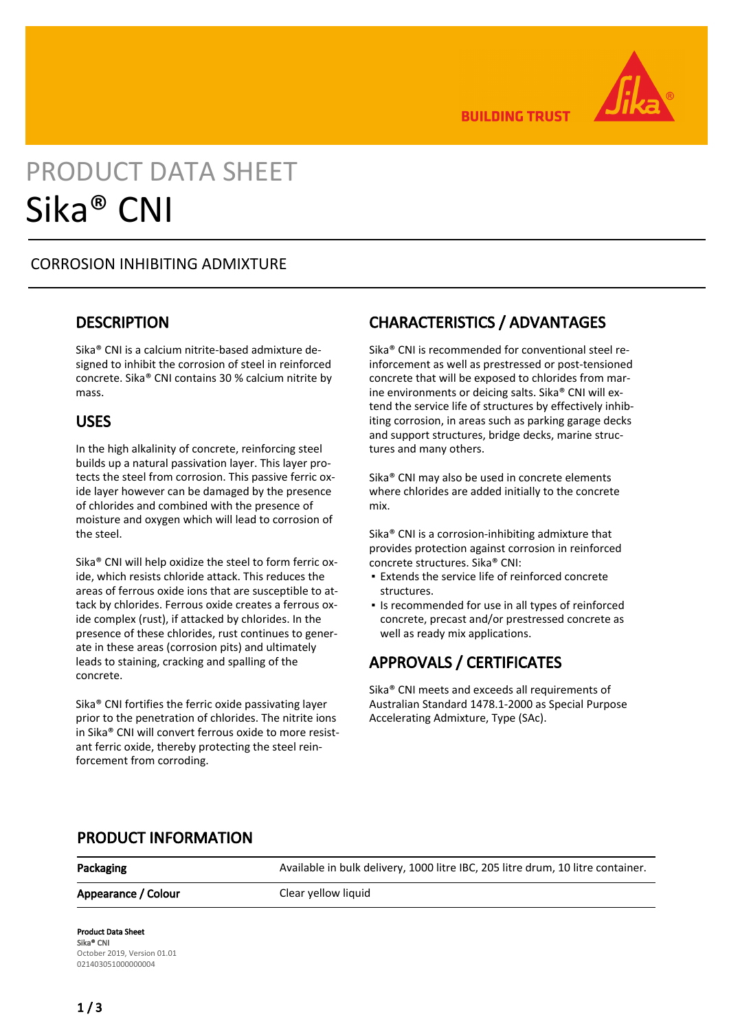

**BUILDING TRUST** 

# PRODUCT DATA SHEET Sika® CNI

### CORROSION INHIBITING ADMIXTURE

### **DESCRIPTION**

Sika® CNI is a calcium nitrite-based admixture designed to inhibit the corrosion of steel in reinforced concrete. Sika® CNI contains 30 % calcium nitrite by mass.

### USES

In the high alkalinity of concrete, reinforcing steel builds up a natural passivation layer. This layer protects the steel from corrosion. This passive ferric oxide layer however can be damaged by the presence of chlorides and combined with the presence of moisture and oxygen which will lead to corrosion of the steel.

Sika® CNI will help oxidize the steel to form ferric oxide, which resists chloride attack. This reduces the areas of ferrous oxide ions that are susceptible to attack by chlorides. Ferrous oxide creates a ferrous oxide complex (rust), if attacked by chlorides. In the presence of these chlorides, rust continues to generate in these areas (corrosion pits) and ultimately leads to staining, cracking and spalling of the concrete.

Sika® CNI fortifies the ferric oxide passivating layer prior to the penetration of chlorides. The nitrite ions in Sika® CNI will convert ferrous oxide to more resistant ferric oxide, thereby protecting the steel reinforcement from corroding.

### CHARACTERISTICS / ADVANTAGES

Sika® CNI is recommended for conventional steel reinforcement as well as prestressed or post-tensioned concrete that will be exposed to chlorides from marine environments or deicing salts. Sika® CNI will extend the service life of structures by effectively inhibiting corrosion, in areas such as parking garage decks and support structures, bridge decks, marine structures and many others.

Sika® CNI may also be used in concrete elements where chlorides are added initially to the concrete mix.

Sika® CNI is a corrosion-inhibiting admixture that provides protection against corrosion in reinforced concrete structures. Sika® CNI:

- Extends the service life of reinforced concrete structures.
- Is recommended for use in all types of reinforced concrete, precast and/or prestressed concrete as well as ready mix applications.

## APPROVALS / CERTIFICATES

Sika® CNI meets and exceeds all requirements of Australian Standard 1478.1-2000 as Special Purpose Accelerating Admixture, Type (SAc).

### PRODUCT INFORMATION

Appearance / Colour Clear yellow liquid

Packaging **Available in bulk delivery, 1000 litre IBC, 205 litre drum, 10 litre container.** 

### Product Data Sheet Sika® CNI October 2019, Version 01.01 021403051000000004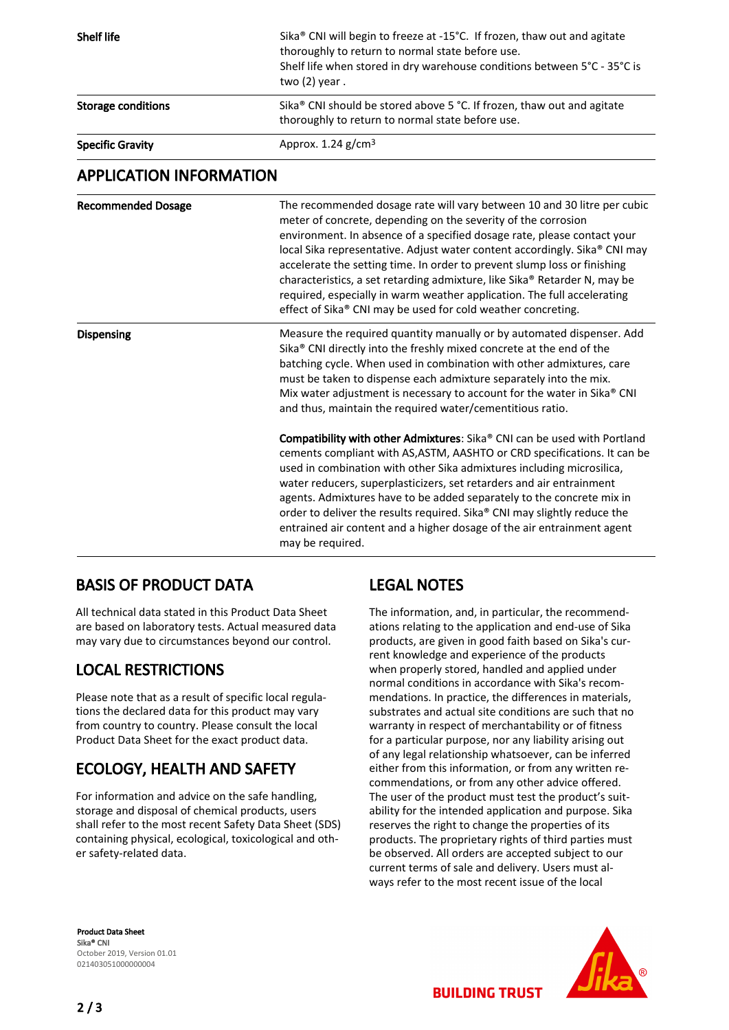| <b>Shelf life</b>              | Sika® CNI will begin to freeze at -15°C. If frozen, thaw out and agitate<br>thoroughly to return to normal state before use.<br>Shelf life when stored in dry warehouse conditions between 5°C - 35°C is<br>two $(2)$ year.                                                                                                                                                                                                                                                                                                                                                                                                                                                                                                                                                                                                                                                                                                                                                                    |
|--------------------------------|------------------------------------------------------------------------------------------------------------------------------------------------------------------------------------------------------------------------------------------------------------------------------------------------------------------------------------------------------------------------------------------------------------------------------------------------------------------------------------------------------------------------------------------------------------------------------------------------------------------------------------------------------------------------------------------------------------------------------------------------------------------------------------------------------------------------------------------------------------------------------------------------------------------------------------------------------------------------------------------------|
| <b>Storage conditions</b>      | Sika® CNI should be stored above 5 °C. If frozen, thaw out and agitate<br>thoroughly to return to normal state before use.                                                                                                                                                                                                                                                                                                                                                                                                                                                                                                                                                                                                                                                                                                                                                                                                                                                                     |
| <b>Specific Gravity</b>        | Approx. 1.24 g/cm <sup>3</sup>                                                                                                                                                                                                                                                                                                                                                                                                                                                                                                                                                                                                                                                                                                                                                                                                                                                                                                                                                                 |
| <b>APPLICATION INFORMATION</b> |                                                                                                                                                                                                                                                                                                                                                                                                                                                                                                                                                                                                                                                                                                                                                                                                                                                                                                                                                                                                |
| <b>Recommended Dosage</b>      | The recommended dosage rate will vary between 10 and 30 litre per cubic<br>meter of concrete, depending on the severity of the corrosion<br>environment. In absence of a specified dosage rate, please contact your<br>local Sika representative. Adjust water content accordingly. Sika® CNI may<br>accelerate the setting time. In order to prevent slump loss or finishing<br>characteristics, a set retarding admixture, like Sika® Retarder N, may be<br>required, especially in warm weather application. The full accelerating<br>effect of Sika® CNI may be used for cold weather concreting.                                                                                                                                                                                                                                                                                                                                                                                          |
| <b>Dispensing</b>              | Measure the required quantity manually or by automated dispenser. Add<br>Sika® CNI directly into the freshly mixed concrete at the end of the<br>batching cycle. When used in combination with other admixtures, care<br>must be taken to dispense each admixture separately into the mix.<br>Mix water adjustment is necessary to account for the water in Sika® CNI<br>and thus, maintain the required water/cementitious ratio.<br>Compatibility with other Admixtures: Sika® CNI can be used with Portland<br>cements compliant with AS, ASTM, AASHTO or CRD specifications. It can be<br>used in combination with other Sika admixtures including microsilica,<br>water reducers, superplasticizers, set retarders and air entrainment<br>agents. Admixtures have to be added separately to the concrete mix in<br>order to deliver the results required. Sika® CNI may slightly reduce the<br>entrained air content and a higher dosage of the air entrainment agent<br>may be required. |

### BASIS OF PRODUCT DATA

All technical data stated in this Product Data Sheet are based on laboratory tests. Actual measured data may vary due to circumstances beyond our control.

### LOCAL RESTRICTIONS

Please note that as a result of specific local regulations the declared data for this product may vary from country to country. Please consult the local Product Data Sheet for the exact product data.

## ECOLOGY, HEALTH AND SAFETY

For information and advice on the safe handling, storage and disposal of chemical products, users shall refer to the most recent Safety Data Sheet (SDS) containing physical, ecological, toxicological and other safety-related data.

# LEGAL NOTES

The information, and, in particular, the recommendations relating to the application and end-use of Sika products, are given in good faith based on Sika's current knowledge and experience of the products when properly stored, handled and applied under normal conditions in accordance with Sika's recommendations. In practice, the differences in materials, substrates and actual site conditions are such that no warranty in respect of merchantability or of fitness for a particular purpose, nor any liability arising out of any legal relationship whatsoever, can be inferred either from this information, or from any written recommendations, or from any other advice offered. The user of the product must test the product's suitability for the intended application and purpose. Sika reserves the right to change the properties of its products. The proprietary rights of third parties must be observed. All orders are accepted subject to our current terms of sale and delivery. Users must always refer to the most recent issue of the local

Product Data Sheet Sika® CNI October 2019, Version 01.01 021403051000000004



**BUILDING TRUST**